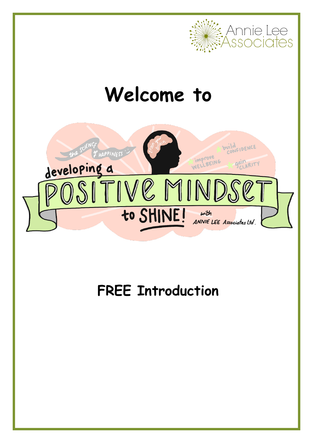

# **Welcome to**



## **FREE Introduction**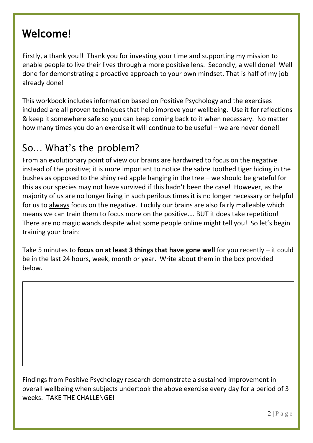## Welcome!

Firstly, a thank you!! Thank you for investing your time and supporting my mission to enable people to live their lives through a more positive lens. Secondly, a well done! Well done for demonstrating a proactive approach to your own mindset. That is half of my job already done!

This workbook includes information based on Positive Psychology and the exercises included are all proven techniques that help improve your wellbeing. Use it for reflections & keep it somewhere safe so you can keep coming back to it when necessary. No matter how many times you do an exercise it will continue to be useful – we are never done!!

## So… What's the problem?

From an evolutionary point of view our brains are hardwired to focus on the negative instead of the positive; it is more important to notice the sabre toothed tiger hiding in the bushes as opposed to the shiny red apple hanging in the tree – we should be grateful for this as our species may not have survived if this hadn't been the case! However, as the majority of us are no longer living in such perilous times it is no longer necessary or helpful for us to always focus on the negative. Luckily our brains are also fairly malleable which means we can train them to focus more on the positive…. BUT it does take repetition! There are no magic wands despite what some people online might tell you! So let's begin training your brain:

Take 5 minutes to **focus on at least 3 things that have gone well** for you recently – it could be in the last 24 hours, week, month or year. Write about them in the box provided below.

Findings from Positive Psychology research demonstrate a sustained improvement in overall wellbeing when subjects undertook the above exercise every day for a period of 3 weeks. TAKE THE CHALLENGE!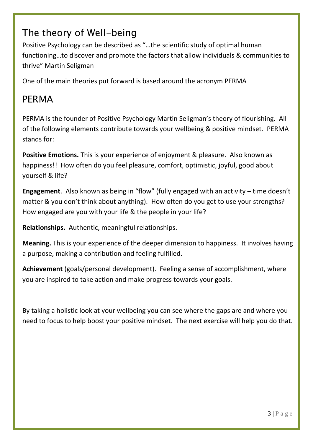## The theory of Well-being

Positive Psychology can be described as "…the scientific study of optimal human functioning…to discover and promote the factors that allow individuals & communities to thrive" Martin Seligman

One of the main theories put forward is based around the acronym PERMA

## PERMA

PERMA is the founder of Positive Psychology Martin Seligman's theory of flourishing. All of the following elements contribute towards your wellbeing & positive mindset. PERMA stands for:

**Positive Emotions.** This is your experience of enjoyment & pleasure. Also known as happiness!! How often do you feel pleasure, comfort, optimistic, joyful, good about yourself & life?

**Engagement**. Also known as being in "flow" (fully engaged with an activity – time doesn't matter & you don't think about anything). How often do you get to use your strengths? How engaged are you with your life & the people in your life?

**Relationships.** Authentic, meaningful relationships.

**Meaning.** This is your experience of the deeper dimension to happiness. It involves having a purpose, making a contribution and feeling fulfilled.

**Achievement** (goals/personal development). Feeling a sense of accomplishment, where you are inspired to take action and make progress towards your goals.

By taking a holistic look at your wellbeing you can see where the gaps are and where you need to focus to help boost your positive mindset. The next exercise will help you do that.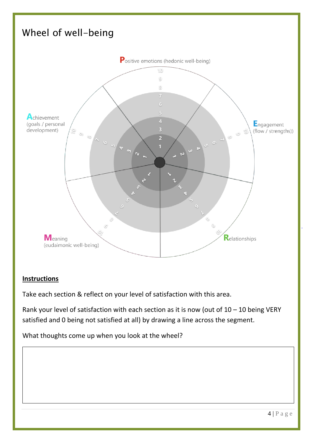

#### **Instructions**

Take each section & reflect on your level of satisfaction with this area.

Rank your level of satisfaction with each section as it is now (out of  $10 - 10$  being VERY satisfied and 0 being not satisfied at all) by drawing a line across the segment.

What thoughts come up when you look at the wheel?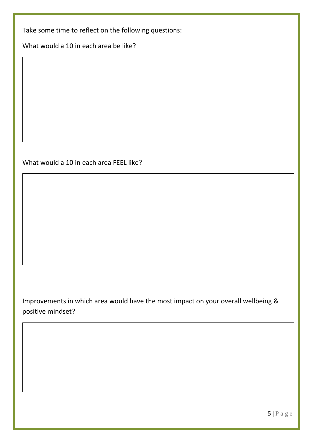Take some time to reflect on the following questions:

What would a 10 in each area be like?

#### What would a 10 in each area FEEL like?

Improvements in which area would have the most impact on your overall wellbeing & positive mindset?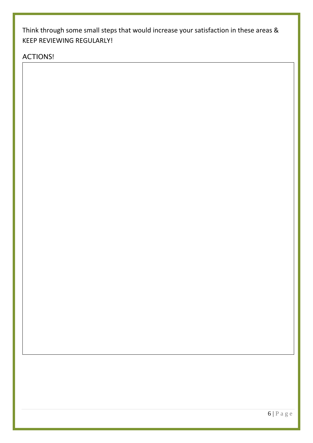Think through some small steps that would increase your satisfaction in these areas & KEEP REVIEWING REGULARLY!

ACTIONS!

Ī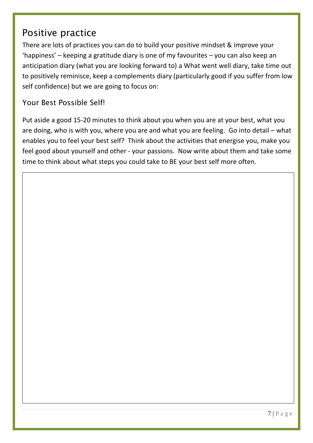## Positive practice

There are lots of practices you can do to build your positive mindset & improve your 'happiness' – keeping a gratitude diary is one of my favourites – you can also keep an anticipation diary (what you are looking forward to) a What went well diary, take time out to positively reminisce, keep a complements diary (particularly good if you suffer from low self confidence) but we are going to focus on:

#### Your Best Possible Self!

Put aside a good 15-20 minutes to think about you when you are at your best, what you are doing, who is with you, where you are and what you are feeling. Go into detail – what enables you to feel your best self? Think about the activities that energise you, make you feel good about yourself and other - your passions. Now write about them and take some time to think about what steps you could take to BE your best self more often.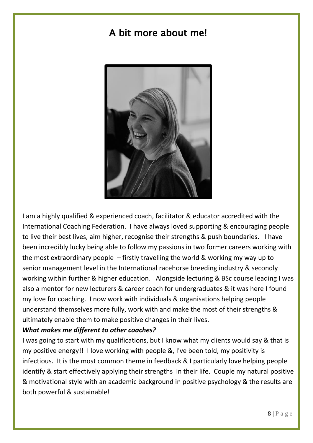## A bit more about me!



I am a highly qualified & experienced coach, facilitator & educator accredited with the International Coaching Federation. I have always loved supporting & encouraging people to live their best lives, aim higher, recognise their strengths & push boundaries. I have been incredibly lucky being able to follow my passions in two former careers working with the most extraordinary people – firstly travelling the world & working my way up to senior management level in the International racehorse breeding industry & secondly working within further & higher education. Alongside lecturing & BSc course leading I was also a mentor for new lecturers & career coach for undergraduates & it was here I found my love for coaching. I now work with individuals & organisations helping people understand themselves more fully, work with and make the most of their strengths & ultimately enable them to make positive changes in their lives.

#### *What makes me different to other coaches?*

I was going to start with my qualifications, but I know what my clients would say & that is my positive energy!! I love working with people &, I've been told, my positivity is infectious. It is the most common theme in feedback & I particularly love helping people identify & start effectively applying their strengths in their life. Couple my natural positive & motivational style with an academic background in positive psychology & the results are both powerful & sustainable!